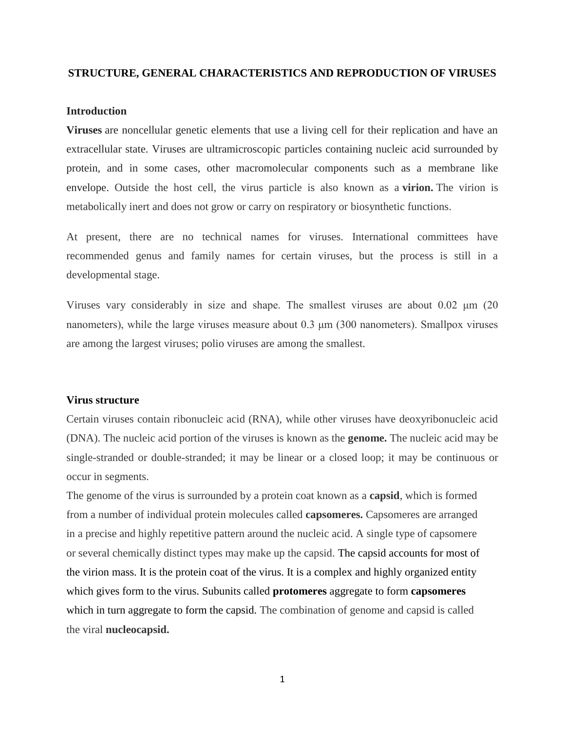# **STRUCTURE, GENERAL CHARACTERISTICS AND REPRODUCTION OF VIRUSES**

#### **Introduction**

**Viruses** are noncellular genetic elements that use a living cell for their replication and have an extracellular state. Viruses are ultramicroscopic particles containing nucleic acid surrounded by protein, and in some cases, other macromolecular components such as a membrane like envelope. Outside the host cell, the virus particle is also known as a **virion.** The virion is metabolically inert and does not grow or carry on respiratory or biosynthetic functions.

At present, there are no technical names for viruses. International committees have recommended genus and family names for certain viruses, but the process is still in a developmental stage.

Viruses vary considerably in size and shape. The smallest viruses are about 0.02 μm (20 nanometers), while the large viruses measure about 0.3 μm (300 nanometers). Smallpox viruses are among the largest viruses; polio viruses are among the smallest.

#### **Virus structure**

Certain viruses contain ribonucleic acid (RNA), while other viruses have deoxyribonucleic acid (DNA). The nucleic acid portion of the viruses is known as the **genome.** The nucleic acid may be single-stranded or double-stranded; it may be linear or a closed loop; it may be continuous or occur in segments.

The genome of the virus is surrounded by a protein coat known as a **capsid**, which is formed from a number of individual protein molecules called **capsomeres.** Capsomeres are arranged in a precise and highly repetitive pattern around the nucleic acid. A single type of capsomere or several chemically distinct types may make up the capsid. The capsid accounts for most of the virion mass. It is the protein coat of the virus. It is a complex and highly organized entity which gives form to the virus. Subunits called **protomeres** aggregate to form **capsomeres** which in turn aggregate to form the capsid. The combination of genome and capsid is called the viral **nucleocapsid.**

1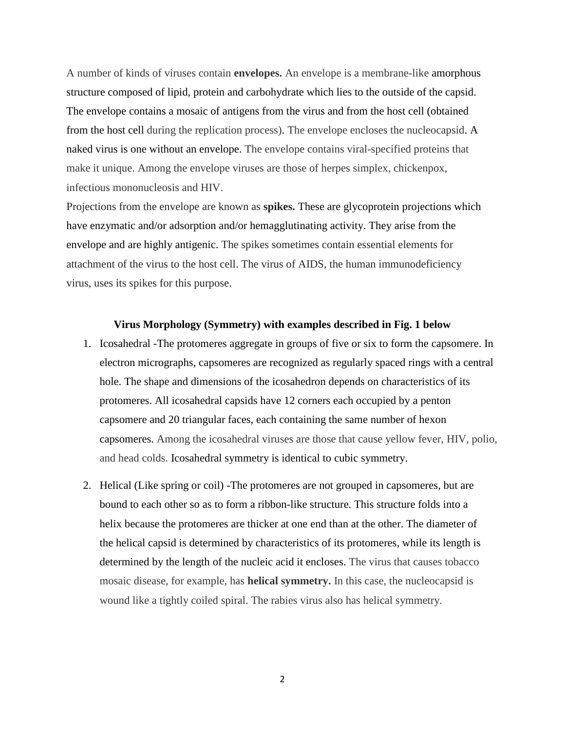A number of kinds of viruses contain **envelopes.** An envelope is a membrane-like amorphous structure composed of lipid, protein and carbohydrate which lies to the outside of the capsid. The envelope contains a mosaic of antigens from the virus and from the host cell (obtained from the host cell during the replication process). The envelope encloses the nucleocapsid. A naked virus is one without an envelope. The envelope contains viral-specified proteins that make it unique. Among the envelope viruses are those of herpes simplex, chickenpox, infectious mononucleosis and HIV.

Projections from the envelope are known as **spikes.** These are glycoprotein projections which have enzymatic and/or adsorption and/or hemagglutinating activity. They arise from the envelope and are highly antigenic. The spikes sometimes contain essential elements for attachment of the virus to the host cell. The virus of AIDS, the human immunodeficiency virus, uses its spikes for this purpose.

### **Virus Morphology (Symmetry) with examples described in Fig. 1 below**

- 1. Icosahedral -The protomeres aggregate in groups of five or six to form the capsomere. In electron micrographs, capsomeres are recognized as regularly spaced rings with a central hole. The shape and dimensions of the icosahedron depends on characteristics of its protomeres. All icosahedral capsids have 12 corners each occupied by a penton capsomere and 20 triangular faces, each containing the same number of hexon capsomeres. Among the icosahedral viruses are those that cause yellow fever, HIV, polio, and head colds. Icosahedral symmetry is identical to cubic symmetry.
- 2. Helical (Like spring or coil) -The protomeres are not grouped in capsomeres, but are bound to each other so as to form a ribbon-like structure. This structure folds into a helix because the protomeres are thicker at one end than at the other. The diameter of the helical capsid is determined by characteristics of its protomeres, while its length is determined by the length of the nucleic acid it encloses. The virus that causes tobacco mosaic disease, for example, has **helical symmetry.** In this case, the nucleocapsid is wound like a tightly coiled spiral. The rabies virus also has helical symmetry.

2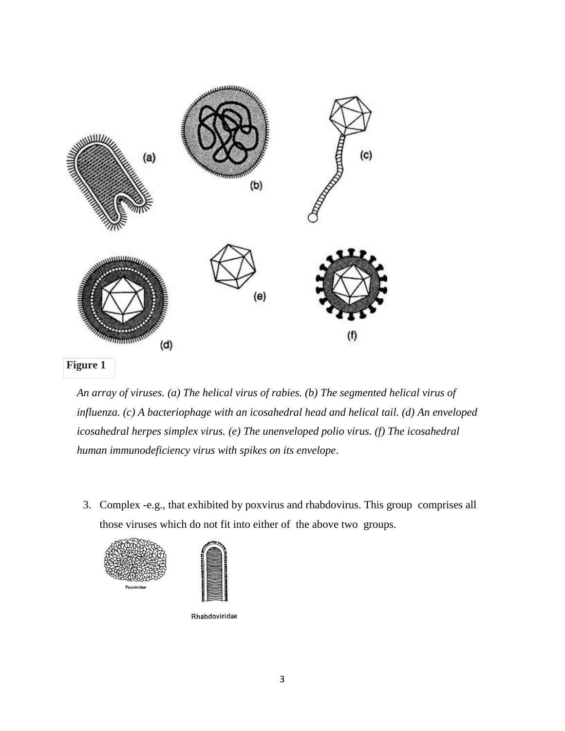

*An array of viruses. (a) The helical virus of rabies. (b) The segmented helical virus of influenza. (c) A bacteriophage with an icosahedral head and helical tail. (d) An enveloped icosahedral herpes simplex virus. (e) The unenveloped polio virus. (f) The icosahedral human immunodeficiency virus with spikes on its envelope*.

3. Complex -e.g., that exhibited by poxvirus and rhabdovirus. This group comprises all those viruses which do not fit into either of the above two groups.



Rhabdoviridae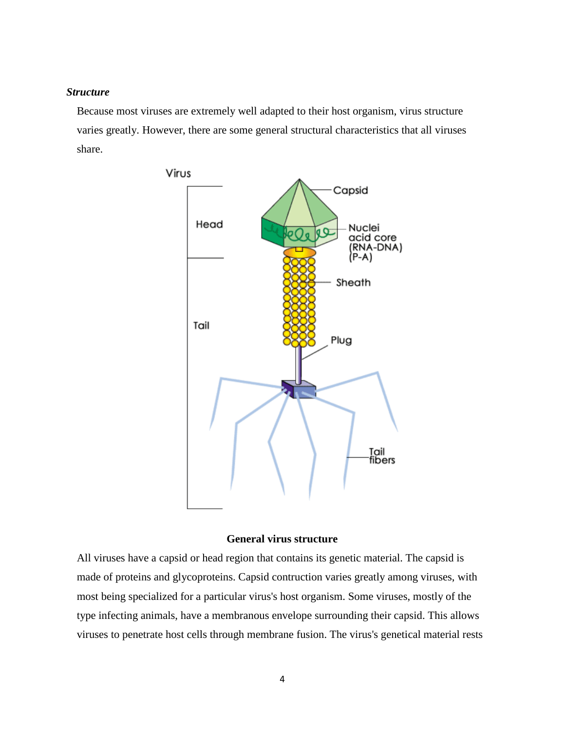# *Structure*

Because most viruses are extremely well adapted to their host organism, virus structure varies greatly. However, there are some general structural characteristics that all viruses share.



# **General virus structure**

All viruses have a capsid or head region that contains its genetic material. The capsid is made of proteins and glycoproteins. Capsid contruction varies greatly among viruses, with most being specialized for a particular virus's host organism. Some viruses, mostly of the type infecting animals, have a membranous envelope surrounding their capsid. This allows viruses to penetrate host cells through membrane fusion. The virus's genetical material rests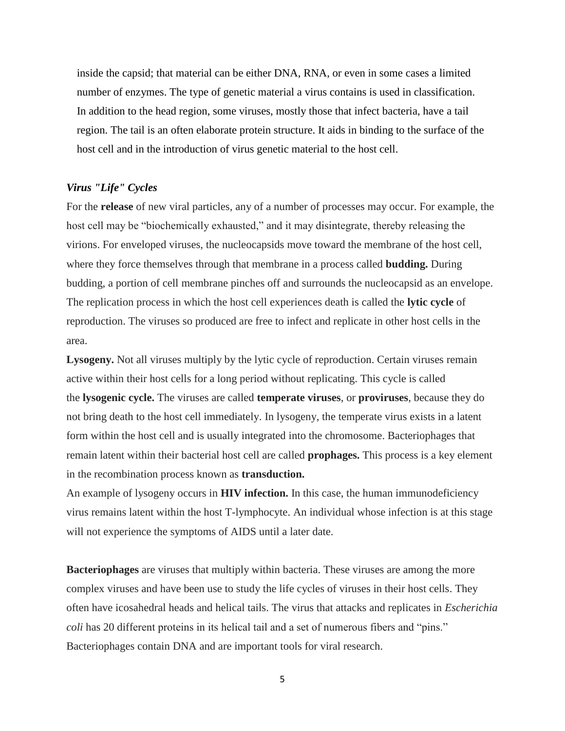inside the capsid; that material can be either DNA, RNA, or even in some cases a limited number of enzymes. The type of genetic material a virus contains is used in classification. In addition to the head region, some viruses, mostly those that infect bacteria, have a tail region. The tail is an often elaborate protein structure. It aids in binding to the surface of the host cell and in the introduction of virus genetic material to the host cell.

# *Virus "Life" Cycles*

For the **release** of new viral particles, any of a number of processes may occur. For example, the host cell may be "biochemically exhausted," and it may disintegrate, thereby releasing the virions. For enveloped viruses, the nucleocapsids move toward the membrane of the host cell, where they force themselves through that membrane in a process called **budding.** During budding, a portion of cell membrane pinches off and surrounds the nucleocapsid as an envelope. The replication process in which the host cell experiences death is called the **lytic cycle** of reproduction. The viruses so produced are free to infect and replicate in other host cells in the area.

**Lysogeny.** Not all viruses multiply by the lytic cycle of reproduction. Certain viruses remain active within their host cells for a long period without replicating. This cycle is called the **lysogenic cycle.** The viruses are called **temperate viruses**, or **proviruses**, because they do not bring death to the host cell immediately. In lysogeny, the temperate virus exists in a latent form within the host cell and is usually integrated into the chromosome. Bacteriophages that remain latent within their bacterial host cell are called **prophages.** This process is a key element in the recombination process known as **transduction.**

An example of lysogeny occurs in **HIV infection.** In this case, the human immunodeficiency virus remains latent within the host T-lymphocyte. An individual whose infection is at this stage will not experience the symptoms of AIDS until a later date.

**Bacteriophages** are viruses that multiply within bacteria. These viruses are among the more complex viruses and have been use to study the life cycles of viruses in their host cells. They often have icosahedral heads and helical tails. The virus that attacks and replicates in *Escherichia coli* has 20 different proteins in its helical tail and a set of numerous fibers and "pins." Bacteriophages contain DNA and are important tools for viral research.

5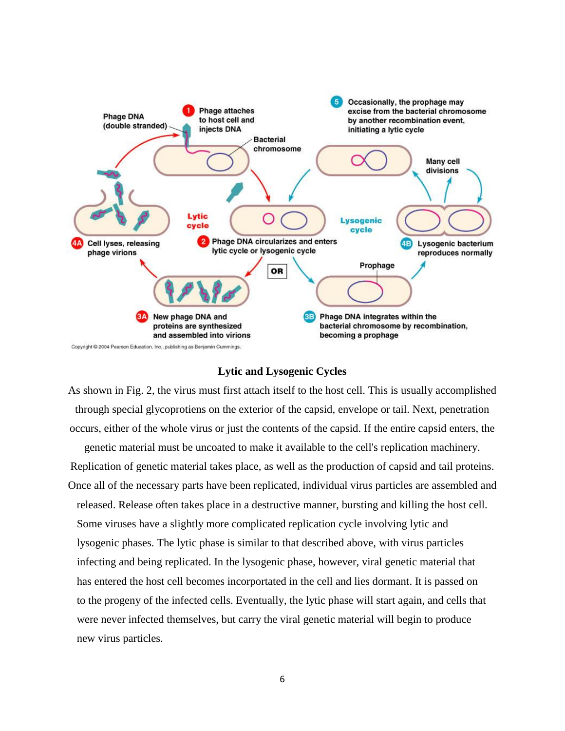

#### **Lytic and Lysogenic Cycles**

As shown in Fig. 2, the virus must first attach itself to the host cell. This is usually accomplished through special glycoprotiens on the exterior of the capsid, envelope or tail. Next, penetration occurs, either of the whole virus or just the contents of the capsid. If the entire capsid enters, the genetic material must be uncoated to make it available to the cell's replication machinery. Replication of genetic material takes place, as well as the production of capsid and tail proteins. Once all of the necessary parts have been replicated, individual virus particles are assembled and released. Release often takes place in a destructive manner, bursting and killing the host cell. Some viruses have a slightly more complicated replication cycle involving lytic and lysogenic phases. The lytic phase is similar to that described above, with virus particles infecting and being replicated. In the lysogenic phase, however, viral genetic material that has entered the host cell becomes incorportated in the cell and lies dormant. It is passed on to the progeny of the infected cells. Eventually, the lytic phase will start again, and cells that were never infected themselves, but carry the viral genetic material will begin to produce new virus particles.